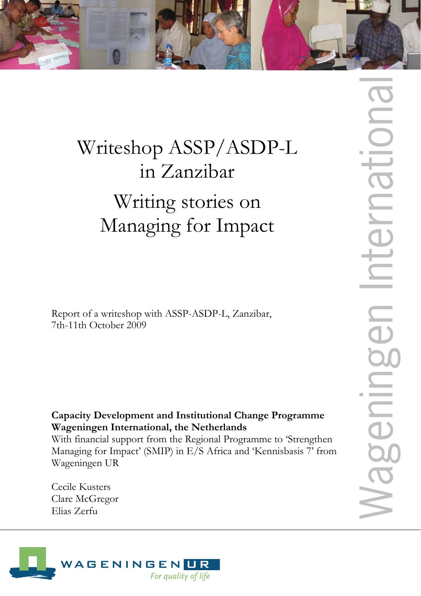

# Writeshop ASSP/ASDP-L in Zanzibar Writing stories on Managing for Impact

Report of a writeshop with ASSP-ASDP-L, Zanzibar, 7th-11th October 2009

# **Capacity Development and Institutional Change Programme Wageningen International, the Netherlands**

With financial support from the Regional Programme to 'Strengthen Managing for Impact' (SMIP) in E/S Africa and 'Kennisbasis 7' from Wageningen UR

Cecile Kusters Clare McGregor Elias Zerfu

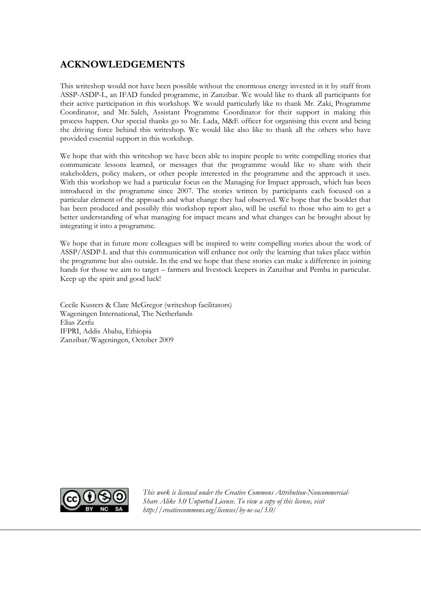## **ACKNOWLEDGEMENTS**

This writeshop would not have been possible without the enormous energy invested in it by staff from ASSP-ASDP-L, an IFAD funded programme, in Zanzibar. We would like to thank all participants for their active participation in this workshop. We would particularly like to thank Mr. Zaki, Programme Coordinator, and Mr. Saleh, Assistant Programme Coordinator for their support in making this process happen. Our special thanks go to Mr. Lada, M&E officer for organising this event and being the driving force behind this writeshop. We would like also like to thank all the others who have provided essential support in this workshop.

We hope that with this writeshop we have been able to inspire people to write compelling stories that communicate lessons learned, or messages that the programme would like to share with their stakeholders, policy makers, or other people interested in the programme and the approach it uses. With this workshop we had a particular focus on the Managing for Impact approach, which has been introduced in the programme since 2007. The stories written by participants each focused on a particular element of the approach and what change they had observed. We hope that the booklet that has been produced and possibly this workshop report also, will be useful to those who aim to get a better understanding of what managing for impact means and what changes can be brought about by integrating it into a programme.

We hope that in future more colleagues will be inspired to write compelling stories about the work of ASSP/ASDP-L and that this communication will enhance not only the learning that takes place within the programme but also outside. In the end we hope that these stories can make a difference in joining hands for those we aim to target – farmers and livestock keepers in Zanzibar and Pemba in particular. Keep up the spirit and good luck!

Cecile Kusters & Clare McGregor (writeshop facilitators) Wageningen International, The Netherlands Elias Zerfu IFPRI, Addis Ababa, Ethiopia Zanzibar/Wageningen, October 2009



*This work is licensed under the Creative Commons Attribution-Noncommercial-Share Alike 3.0 Unported License. To view a copy of this license, visit http://creativecommons.org/licenses/by-nc-sa/3.0/*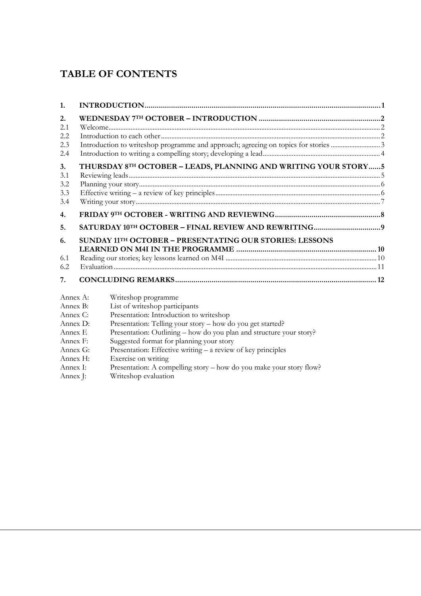# **TABLE OF CONTENTS**

| 1.        |  |                                                                     |  |
|-----------|--|---------------------------------------------------------------------|--|
| 2.<br>2.1 |  |                                                                     |  |
| 2.2       |  |                                                                     |  |
| 2.3       |  |                                                                     |  |
| 2.4       |  |                                                                     |  |
| 3.        |  | THURSDAY 8TH OCTOBER - LEADS, PLANNING AND WRITING YOUR STORY  5    |  |
| 3.1       |  |                                                                     |  |
| 3.2       |  |                                                                     |  |
| 3.3       |  |                                                                     |  |
| 3.4       |  |                                                                     |  |
| 4.        |  |                                                                     |  |
| 5.        |  |                                                                     |  |
| 6.        |  | <b>SUNDAY 11TH OCTOBER - PRESENTATING OUR STORIES: LESSONS</b>      |  |
|           |  |                                                                     |  |
| 6.1       |  |                                                                     |  |
| 6.2       |  |                                                                     |  |
| 7.        |  |                                                                     |  |
| Annex A:  |  | Writeshop programme                                                 |  |
| Annex B:  |  | List of writeshop participants                                      |  |
| Annex C:  |  | Presentation: Introduction to writeshop                             |  |
| Annex D:  |  | Presentation: Telling your story - how do you get started?          |  |
| Annex E   |  | Presentation: Outlining – how do you plan and structure your story? |  |
| Annex F:  |  | Suggested format for planning your story                            |  |
| Annex G:  |  | Presentation: Effective writing – a review of key principles        |  |
| Annex H:  |  | Exercise on writing                                                 |  |
|           |  |                                                                     |  |

- Annex I: Presentation: A compelling story how do you make your story flow?<br>Annex J: Writeshop evaluation
- Writeshop evaluation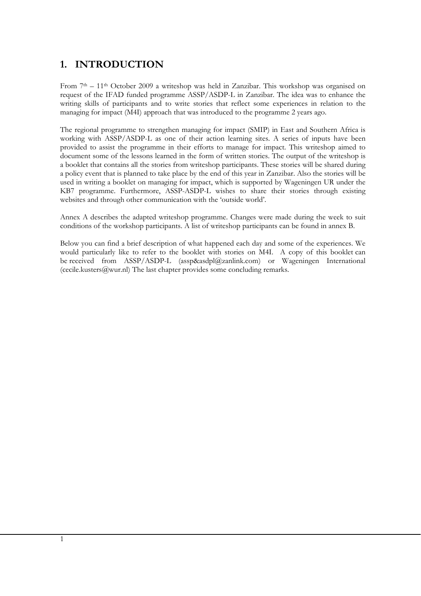## **1. INTRODUCTION**

From 7<sup>th</sup> – 11<sup>th</sup> October 2009 a writeshop was held in Zanzibar. This workshop was organised on request of the IFAD funded programme ASSP/ASDP-L in Zanzibar. The idea was to enhance the writing skills of participants and to write stories that reflect some experiences in relation to the managing for impact (M4I) approach that was introduced to the programme 2 years ago.

The regional programme to strengthen managing for impact (SMIP) in East and Southern Africa is working with ASSP/ASDP-L as one of their action learning sites. A series of inputs have been provided to assist the programme in their efforts to manage for impact. This writeshop aimed to document some of the lessons learned in the form of written stories. The output of the writeshop is a booklet that contains all the stories from writeshop participants. These stories will be shared during a policy event that is planned to take place by the end of this year in Zanzibar. Also the stories will be used in writing a booklet on managing for impact, which is supported by Wageningen UR under the KB7 programme. Furthermore, ASSP-ASDP-L wishes to share their stories through existing websites and through other communication with the 'outside world'.

Annex A describes the adapted writeshop programme. Changes were made during the week to suit conditions of the workshop participants. A list of writeshop participants can be found in annex B.

Below you can find a brief description of what happened each day and some of the experiences. We would particularly like to refer to the booklet with stories on M4I. A copy of this booklet can be received from ASSP/ASDP-L (assp&asdpl@zanlink.com) or Wageningen International (cecile.kusters@wur.nl) The last chapter provides some concluding remarks.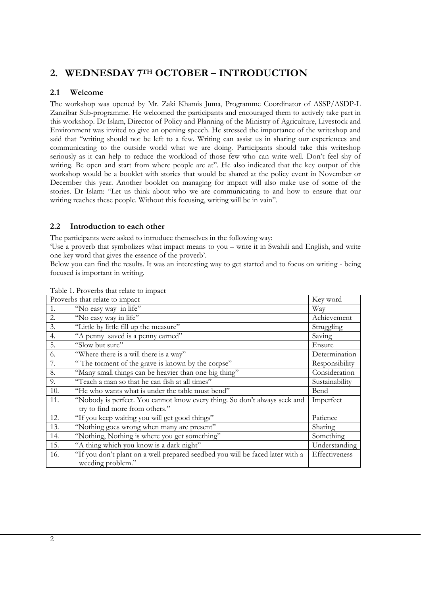# **2. WEDNESDAY 7TH OCTOBER – INTRODUCTION**

#### **2.1 Welcome**

The workshop was opened by Mr. Zaki Khamis Juma, Programme Coordinator of ASSP/ASDP-L Zanzibar Sub-programme. He welcomed the participants and encouraged them to actively take part in this workshop. Dr Islam, Director of Policy and Planning of the Ministry of Agriculture, Livestock and Environment was invited to give an opening speech. He stressed the importance of the writeshop and said that "writing should not be left to a few. Writing can assist us in sharing our experiences and communicating to the outside world what we are doing. Participants should take this writeshop seriously as it can help to reduce the workload of those few who can write well. Don't feel shy of writing. Be open and start from where people are at". He also indicated that the key output of this workshop would be a booklet with stories that would be shared at the policy event in November or December this year. Another booklet on managing for impact will also make use of some of the stories. Dr Islam: "Let us think about who we are communicating to and how to ensure that our writing reaches these people. Without this focusing, writing will be in vain".

#### **2.2 Introduction to each other**

The participants were asked to introduce themselves in the following way:

'Use a proverb that symbolizes what impact means to you – write it in Swahili and English, and write one key word that gives the essence of the proverb'.

Below you can find the results. It was an interesting way to get started and to focus on writing - being focused is important in writing.

| Proverbs that relate to impact |                                                                               |                |  |
|--------------------------------|-------------------------------------------------------------------------------|----------------|--|
|                                | Key word                                                                      |                |  |
| 1.                             | "No easy way in life"                                                         | Way            |  |
| 2.                             | "No easy way in life"                                                         | Achievement    |  |
| 3.                             | "Little by little fill up the measure"                                        | Struggling     |  |
| 4.                             | "A penny saved is a penny earned"                                             | Saving         |  |
| 5.                             | "Slow but sure"                                                               | Ensure         |  |
| 6.                             | "Where there is a will there is a way"                                        | Determination  |  |
| 7.                             | "The torment of the grave is known by the corpse"                             | Responsibility |  |
| 8.                             | "Many small things can be heavier than one big thing"                         | Consideration  |  |
| 9.                             | "Teach a man so that he can fish at all times"                                | Sustainability |  |
| 10.                            | "He who wants what is under the table must bend"                              | Bend           |  |
| 11.                            | "Nobody is perfect. You cannot know every thing. So don't always seek and     | Imperfect      |  |
|                                | try to find more from others."                                                |                |  |
| 12.                            | "If you keep waiting you will get good things"                                | Patience       |  |
| 13.                            | "Nothing goes wrong when many are present"                                    | Sharing        |  |
| 14.                            | "Nothing, Nothing is where you get something"                                 | Something      |  |
| 15.                            | "A thing which you know is a dark night"                                      | Understanding  |  |
| 16.                            | "If you don't plant on a well prepared seedbed you will be faced later with a | Effectiveness  |  |
|                                | weeding problem."                                                             |                |  |

Table 1. Proverbs that relate to impact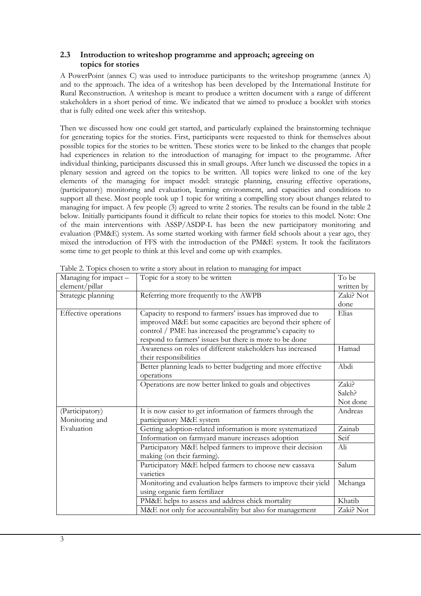#### **2.3 Introduction to writeshop programme and approach; agreeing on topics for stories**

A PowerPoint (annex C) was used to introduce participants to the writeshop programme (annex A) and to the approach. The idea of a writeshop has been developed by the International Institute for Rural Reconstruction. A writeshop is meant to produce a written document with a range of different stakeholders in a short period of time. We indicated that we aimed to produce a booklet with stories that is fully edited one week after this writeshop.

Then we discussed how one could get started, and particularly explained the brainstorming technique for generating topics for the stories. First, participants were requested to think for themselves about possible topics for the stories to be written. These stories were to be linked to the changes that people had experiences in relation to the introduction of managing for impact to the programme. After individual thinking, participants discussed this in small groups. After lunch we discussed the topics in a plenary session and agreed on the topics to be written. All topics were linked to one of the key elements of the managing for impact model: strategic planning, ensuring effective operations, (participatory) monitoring and evaluation, learning environment, and capacities and conditions to support all these. Most people took up 1 topic for writing a compelling story about changes related to managing for impact. A few people (3) agreed to write 2 stories. The results can be found in the table 2 below. Initially participants found it difficult to relate their topics for stories to this model. Note: One of the main interventions with ASSP/ASDP-L has been the new participatory monitoring and evaluation (PM&E) system. As some started working with farmer field schools about a year ago, they mixed the introduction of FFS with the introduction of the PM&E system. It took the facilitators some time to get people to think at this level and come up with examples.

| Table 2. Topics chosen to write a story about in relation to managing for impact |                                                                |            |  |  |  |
|----------------------------------------------------------------------------------|----------------------------------------------------------------|------------|--|--|--|
| Managing for impact -                                                            | Topic for a story to be written                                | To be      |  |  |  |
| element/pillar                                                                   |                                                                | written by |  |  |  |
| Strategic planning                                                               | Referring more frequently to the AWPB                          | Zaki? Not  |  |  |  |
|                                                                                  |                                                                | done       |  |  |  |
| Effective operations                                                             | Capacity to respond to farmers' issues has improved due to     | Elias      |  |  |  |
|                                                                                  | improved M&E but some capacities are beyond their sphere of    |            |  |  |  |
|                                                                                  | control / PME has increased the programme's capacity to        |            |  |  |  |
|                                                                                  | respond to farmers' issues but there is more to be done        |            |  |  |  |
|                                                                                  | Awareness on roles of different stakeholders has increased     | Hamad      |  |  |  |
|                                                                                  | their responsibilities                                         |            |  |  |  |
|                                                                                  | Better planning leads to better budgeting and more effective   | Abdi       |  |  |  |
|                                                                                  | operations                                                     |            |  |  |  |
|                                                                                  | Operations are now better linked to goals and objectives       | Zaki?      |  |  |  |
|                                                                                  |                                                                | Saleh?     |  |  |  |
|                                                                                  |                                                                | Not done   |  |  |  |
| (Participatory)                                                                  | It is now easier to get information of farmers through the     | Andreas    |  |  |  |
| Monitoring and                                                                   | participatory M&E system                                       |            |  |  |  |
| Evaluation                                                                       | Getting adoption-related information is more systematized      | Zainab     |  |  |  |
|                                                                                  | Information on farmyard manure increases adoption              | Seif       |  |  |  |
|                                                                                  | Participatory M&E helped farmers to improve their decision     | Ali        |  |  |  |
|                                                                                  | making (on their farming).                                     |            |  |  |  |
|                                                                                  | Participatory M&E helped farmers to choose new cassava         | Salum      |  |  |  |
|                                                                                  | varieties                                                      |            |  |  |  |
|                                                                                  | Monitoring and evaluation helps farmers to improve their yield | Mchanga    |  |  |  |
|                                                                                  | using organic farm fertilizer                                  |            |  |  |  |
|                                                                                  | PM&E helps to assess and address chick mortality               | Khatib     |  |  |  |
|                                                                                  | M&E not only for accountability but also for management        | Zaki? Not  |  |  |  |

Table 2. Topics chosen to write a story about in relation to managing for impact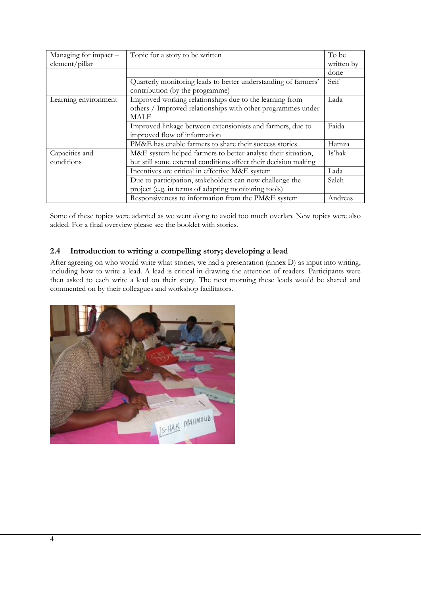| Managing for impact - | Topic for a story to be written                                 | To be      |
|-----------------------|-----------------------------------------------------------------|------------|
| element/pillar        |                                                                 | written by |
|                       |                                                                 | done       |
|                       | Quarterly monitoring leads to better understanding of farmers'  | Seif       |
|                       | contribution (by the programme)                                 |            |
| Learning environment  | Improved working relationships due to the learning from         | Lada       |
|                       | others / Improved relationships with other programmes under     |            |
|                       | MALE                                                            |            |
|                       | Improved linkage between extensionists and farmers, due to      | Faida      |
|                       | improved flow of information                                    |            |
|                       | PM&E has enable farmers to share their success stories          | Hamza      |
| Capacities and        | M&E system helped farmers to better analyse their situation,    | Is'hak     |
| conditions            | but still some external conditions affect their decision making |            |
|                       | Incentives are critical in effective M&E system                 | Lada       |
|                       | Due to participation, stakeholders can now challenge the        | Saleh      |
|                       | project (e.g. in terms of adapting monitoring tools)            |            |
|                       | Responsiveness to information from the PM&E system              | Andreas    |

Some of these topics were adapted as we went along to avoid too much overlap. New topics were also added. For a final overview please see the booklet with stories.

#### **2.4 Introduction to writing a compelling story; developing a lead**

After agreeing on who would write what stories, we had a presentation (annex D) as input into writing, including how to write a lead. A lead is critical in drawing the attention of readers. Participants were then asked to each write a lead on their story. The next morning these leads would be shared and commented on by their colleagues and workshop facilitators.

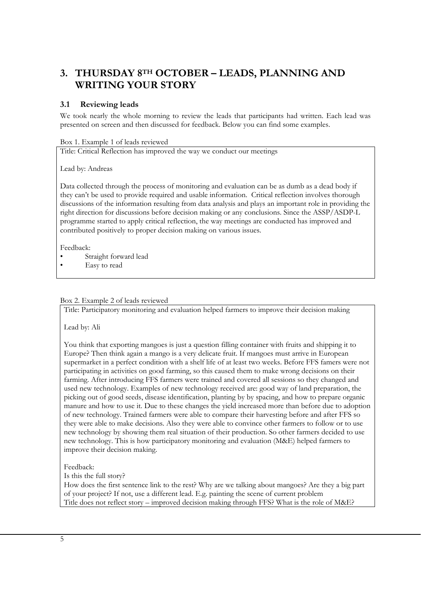# **3. THURSDAY 8TH OCTOBER – LEADS, PLANNING AND WRITING YOUR STORY**

#### **3.1 Reviewing leads**

We took nearly the whole morning to review the leads that participants had written. Each lead was presented on screen and then discussed for feedback. Below you can find some examples.

#### Box 1. Example 1 of leads reviewed

Title: Critical Reflection has improved the way we conduct our meetings

Lead by: Andreas

Data collected through the process of monitoring and evaluation can be as dumb as a dead body if they can't be used to provide required and usable information. Critical reflection involves thorough discussions of the information resulting from data analysis and plays an important role in providing the right direction for discussions before decision making or any conclusions. Since the ASSP/ASDP-L programme started to apply critical reflection, the way meetings are conducted has improved and contributed positively to proper decision making on various issues.

Feedback:

- Straight forward lead
- Easy to read

#### Box 2. Example 2 of leads reviewed

Title: Participatory monitoring and evaluation helped farmers to improve their decision making

Lead by: Ali

You think that exporting mangoes is just a question filling container with fruits and shipping it to Europe? Then think again a mango is a very delicate fruit. If mangoes must arrive in European supermarket in a perfect condition with a shelf life of at least two weeks. Before FFS famers were not participating in activities on good farming, so this caused them to make wrong decisions on their farming. After introducing FFS farmers were trained and covered all sessions so they changed and used new technology. Examples of new technology received are: good way of land preparation, the picking out of good seeds, disease identification, planting by by spacing, and how to prepare organic manure and how to use it. Due to these changes the yield increased more than before due to adoption of new technology. Trained farmers were able to compare their harvesting before and after FFS so they were able to make decisions. Also they were able to convince other farmers to follow or to use new technology by showing them real situation of their production. So other farmers decided to use new technology. This is how participatory monitoring and evaluation (M&E) helped farmers to improve their decision making.

Feedback:

Is this the full story?

How does the first sentence link to the rest? Why are we talking about mangoes? Are they a big part of your project? If not, use a different lead. E.g. painting the scene of current problem Title does not reflect story – improved decision making through FFS? What is the role of M&E?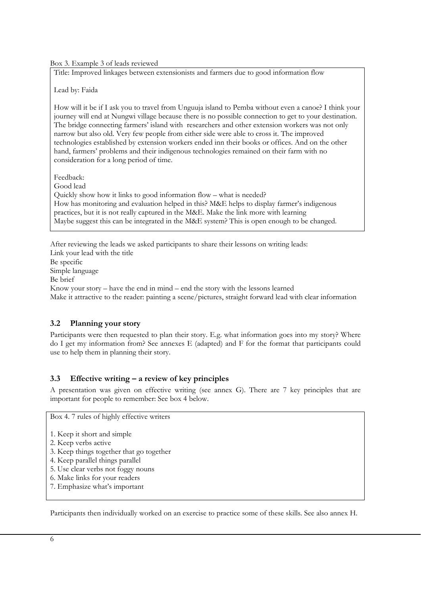Box 3. Example 3 of leads reviewed

Title: Improved linkages between extensionists and farmers due to good information flow

Lead by: Faida

How will it be if I ask you to travel from Unguuja island to Pemba without even a canoe? I think your journey will end at Nungwi village because there is no possible connection to get to your destination. The bridge connecting farmers' island with researchers and other extension workers was not only narrow but also old. Very few people from either side were able to cross it. The improved technologies established by extension workers ended inn their books or offices. And on the other hand, farmers' problems and their indigenous technologies remained on their farm with no consideration for a long period of time.

Feedback:

Good lead

Quickly show how it links to good information flow – what is needed? How has monitoring and evaluation helped in this? M&E helps to display farmer's indigenous practices, but it is not really captured in the M&E. Make the link more with learning Maybe suggest this can be integrated in the M&E system? This is open enough to be changed.

After reviewing the leads we asked participants to share their lessons on writing leads: Link your lead with the title Be specific Simple language Be brief Know your story – have the end in mind – end the story with the lessons learned Make it attractive to the reader: painting a scene/pictures, straight forward lead with clear information

#### **3.2 Planning your story**

Participants were then requested to plan their story. E.g. what information goes into my story? Where do I get my information from? See annexes E (adapted) and F for the format that participants could use to help them in planning their story.

#### **3.3 Effective writing – a review of key principles**

A presentation was given on effective writing (see annex G). There are 7 key principles that are important for people to remember: See box 4 below.

Box 4. 7 rules of highly effective writers

- 1. Keep it short and simple
- 2. Keep verbs active
- 3. Keep things together that go together
- 4. Keep parallel things parallel
- 5. Use clear verbs not foggy nouns
- 6. Make links for your readers
- 7. Emphasize what's important

Participants then individually worked on an exercise to practice some of these skills. See also annex H.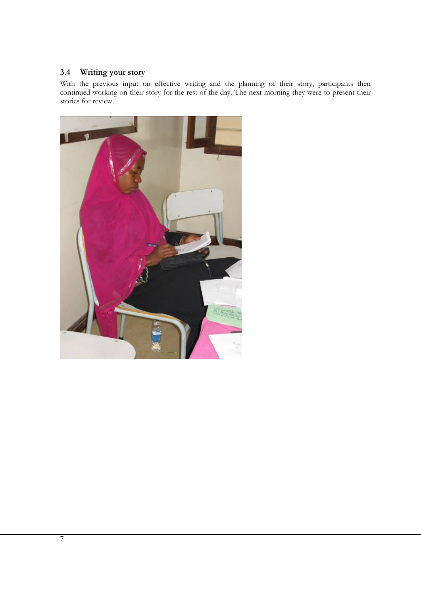#### **3.4 Writing your story**

With the previous input on effective writing and the planning of their story, participants then continued working on their story for the rest of the day. The next morning they were to present their stories for review.

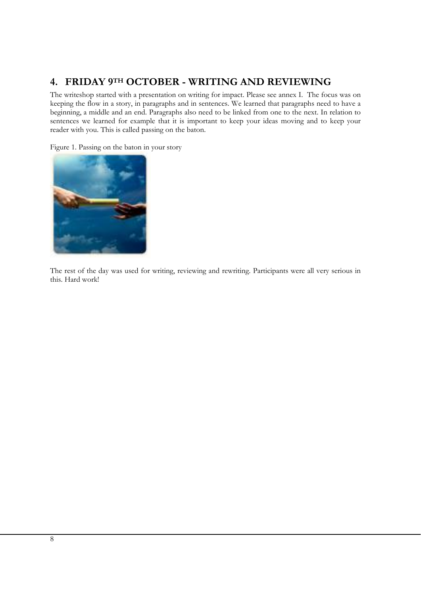# **4. FRIDAY 9TH OCTOBER - WRITING AND REVIEWING**

The writeshop started with a presentation on writing for impact. Please see annex I. The focus was on keeping the flow in a story, in paragraphs and in sentences. We learned that paragraphs need to have a beginning, a middle and an end. Paragraphs also need to be linked from one to the next. In relation to sentences we learned for example that it is important to keep your ideas moving and to keep your reader with you. This is called passing on the baton.

Figure 1. Passing on the baton in your story



The rest of the day was used for writing, reviewing and rewriting. Participants were all very serious in this. Hard work!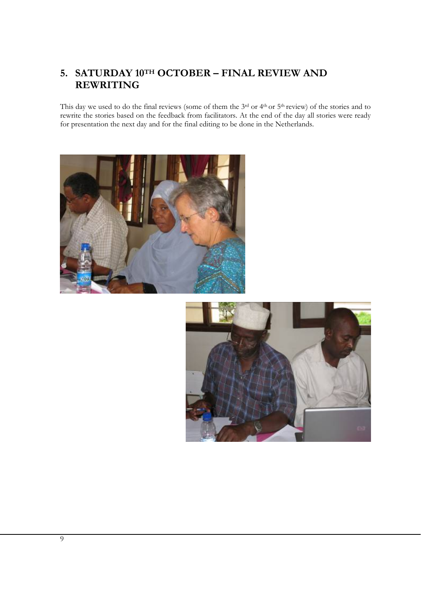## **5. SATURDAY 10TH OCTOBER – FINAL REVIEW AND REWRITING**

This day we used to do the final reviews (some of them the 3rd or 4<sup>th</sup> or 5<sup>th</sup> review) of the stories and to rewrite the stories based on the feedback from facilitators. At the end of the day all stories were ready for presentation the next day and for the final editing to be done in the Netherlands.



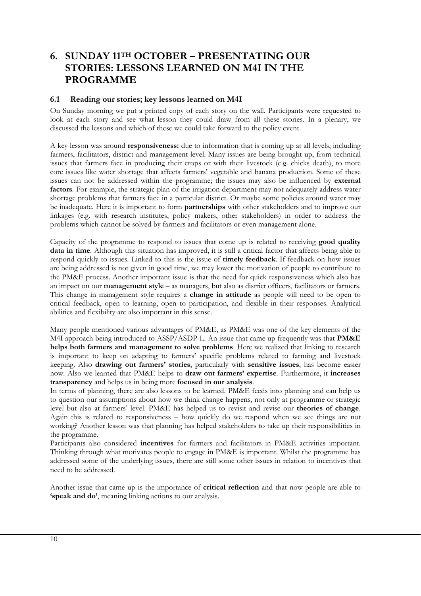## **6. SUNDAY 11TH OCTOBER – PRESENTATING OUR STORIES: LESSONS LEARNED ON M4I IN THE PROGRAMME**

#### **6.1 Reading our stories; key lessons learned on M4I**

On Sunday morning we put a printed copy of each story on the wall. Participants were requested to look at each story and see what lesson they could draw from all these stories. In a plenary, we discussed the lessons and which of these we could take forward to the policy event.

A key lesson was around **responsiveness:** due to information that is coming up at all levels, including farmers, facilitators, district and management level. Many issues are being brought up, from technical issues that farmers face in producing their crops or with their livestock (e.g. chicks death), to more core issues like water shortage that affects farmers' vegetable and banana production. Some of these issues can not be addressed within the programme; the issues may also be influenced by **external factors**. For example, the strategic plan of the irrigation department may not adequately address water shortage problems that farmers face in a particular district. Or maybe some policies around water may be inadequate. Here it is important to form **partnerships** with other stakeholders and to improve our linkages (e.g. with research institutes, policy makers, other stakeholders) in order to address the problems which cannot be solved by farmers and facilitators or even management alone.

Capacity of the programme to respond to issues that come up is related to receiving **good quality data in time**. Although this situation has improved, it is still a critical factor that affects being able to respond quickly to issues. Linked to this is the issue of **timely feedback**. If feedback on how issues are being addressed is not given in good time, we may lower the motivation of people to contribute to the PM&E process. Another important issue is that the need for quick responsiveness which also has an impact on our **management style** – as managers, but also as district officers, facilitators or farmers. This change in management style requires a **change in attitude** as people will need to be open to critical feedback, open to learning, open to participation, and flexible in their responses. Analytical abilities and flexibility are also important in this sense.

Many people mentioned various advantages of PM&E, as PM&E was one of the key elements of the M4I approach being introduced to ASSP/ASDP-L. An issue that came up frequently was that **PM&E helps both farmers and management to solve problems**. Here we realized that linking to research is important to keep on adapting to farmers' specific problems related to farming and livestock keeping. Also **drawing out farmers' stories**, particularly with **sensitive issues**, has become easier now. Also we learned that PM&E helps to **draw out farmers' expertise**. Furthermore, it **increases transparency** and helps us in being more **focused in our analysis**.

In terms of planning, there are also lessons to be learned. PM&E feeds into planning and can help us to question our assumptions about how we think change happens, not only at programme or strategic level but also at farmers' level. PM&E has helped us to revisit and revise our **theories of change**. Again this is related to responsiveness – how quickly do we respond when we see things are not working? Another lesson was that planning has helped stakeholders to take up their responsibilities in the programme.

Participants also considered **incentives** for farmers and facilitators in PM&E activities important. Thinking through what motivates people to engage in PM&E is important. Whilst the programme has addressed some of the underlying issues, there are still some other issues in relation to incentives that need to be addressed.

Another issue that came up is the importance of **critical reflection** and that now people are able to **'speak and do'**, meaning linking actions to our analysis.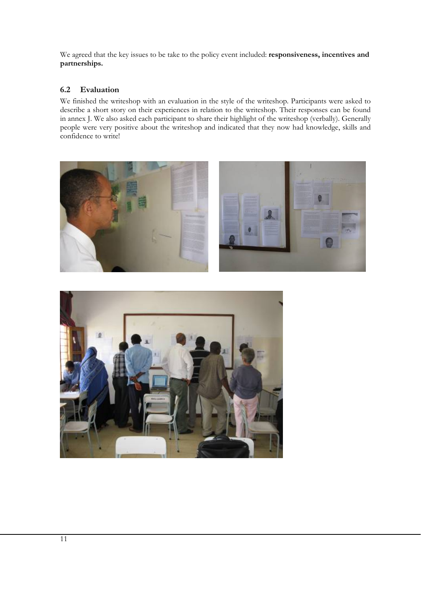We agreed that the key issues to be take to the policy event included: **responsiveness, incentives and partnerships.** 

#### **6.2 Evaluation**

We finished the writeshop with an evaluation in the style of the writeshop. Participants were asked to describe a short story on their experiences in relation to the writeshop. Their responses can be found in annex J. We also asked each participant to share their highlight of the writeshop (verbally). Generally people were very positive about the writeshop and indicated that they now had knowledge, skills and confidence to write!



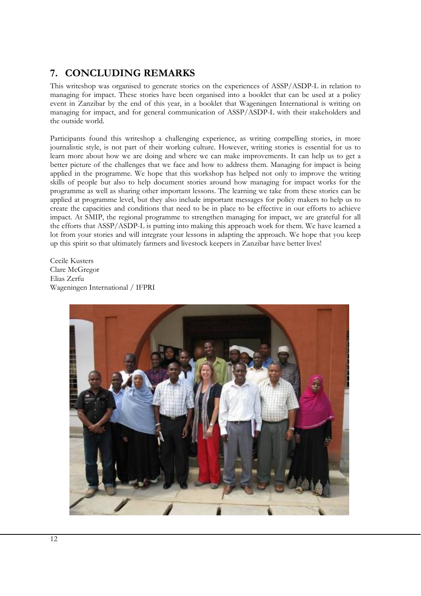# **7. CONCLUDING REMARKS**

This writeshop was organised to generate stories on the experiences of ASSP/ASDP-L in relation to managing for impact. These stories have been organised into a booklet that can be used at a policy event in Zanzibar by the end of this year, in a booklet that Wageningen International is writing on managing for impact, and for general communication of ASSP/ASDP-L with their stakeholders and the outside world.

Participants found this writeshop a challenging experience, as writing compelling stories, in more journalistic style, is not part of their working culture. However, writing stories is essential for us to learn more about how we are doing and where we can make improvements. It can help us to get a better picture of the challenges that we face and how to address them. Managing for impact is being applied in the programme. We hope that this workshop has helped not only to improve the writing skills of people but also to help document stories around how managing for impact works for the programme as well as sharing other important lessons. The learning we take from these stories can be applied at programme level, but they also include important messages for policy makers to help us to create the capacities and conditions that need to be in place to be effective in our efforts to achieve impact. At SMIP, the regional programme to strengthen managing for impact, we are grateful for all the efforts that ASSP/ASDP-L is putting into making this approach work for them. We have learned a lot from your stories and will integrate your lessons in adapting the approach. We hope that you keep up this spirit so that ultimately farmers and livestock keepers in Zanzibar have better lives!

Cecile Kusters Clare McGregor Elias Zerfu Wageningen International / IFPRI